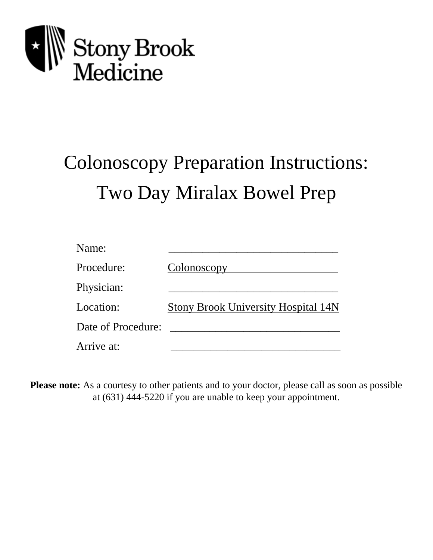

# Colonoscopy Preparation Instructions: Two Day Miralax Bowel Prep

| Name:              |                                            |
|--------------------|--------------------------------------------|
| Procedure:         | Colonoscopy                                |
| Physician:         |                                            |
| Location:          | <b>Stony Brook University Hospital 14N</b> |
| Date of Procedure: |                                            |
| Arrive at:         |                                            |

**Please note:** As a courtesy to other patients and to your doctor, please call as soon as possible at (631) 444-5220 if you are unable to keep your appointment.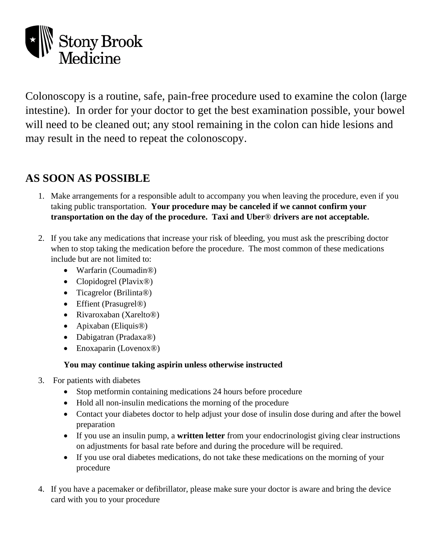

Colonoscopy is a routine, safe, pain-free procedure used to examine the colon (large intestine). In order for your doctor to get the best examination possible, your bowel will need to be cleaned out; any stool remaining in the colon can hide lesions and may result in the need to repeat the colonoscopy.

## **AS SOON AS POSSIBLE**

- 1. Make arrangements for a responsible adult to accompany you when leaving the procedure, even if you taking public transportation. **Your procedure may be canceled if we cannot confirm your transportation on the day of the procedure. Taxi and Uber**® **drivers are not acceptable.**
- 2. If you take any medications that increase your risk of bleeding, you must ask the prescribing doctor when to stop taking the medication before the procedure. The most common of these medications include but are not limited to:
	- Warfarin (Coumadin®)
	- Clopidogrel (Plavix®)
	- Ticagrelor (Brilinta®)
	- Effient (Prasugrel®)
	- Rivaroxaban (Xarelto®)
	- Apixaban (Eliquis®)
	- Dabigatran (Pradaxa®)
	- Enoxaparin (Lovenox®)

#### **You may continue taking aspirin unless otherwise instructed**

- 3. For patients with diabetes
	- Stop metformin containing medications 24 hours before procedure
	- Hold all non-insulin medications the morning of the procedure
	- Contact your diabetes doctor to help adjust your dose of insulin dose during and after the bowel preparation
	- If you use an insulin pump, a **written letter** from your endocrinologist giving clear instructions on adjustments for basal rate before and during the procedure will be required.
	- If you use oral diabetes medications, do not take these medications on the morning of your procedure
- 4. If you have a pacemaker or defibrillator, please make sure your doctor is aware and bring the device card with you to your procedure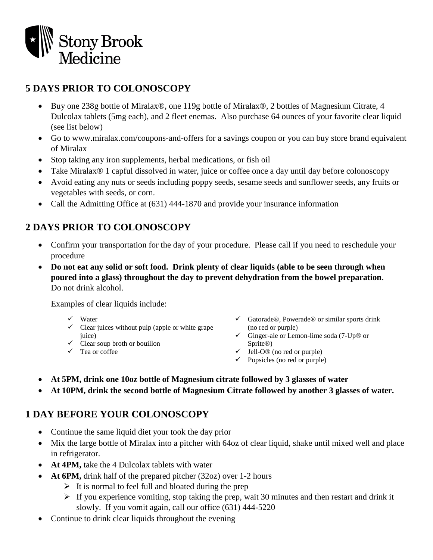

#### **5 DAYS PRIOR TO COLONOSCOPY**

- Buy one 238g bottle of Miralax®, one 119g bottle of Miralax®, 2 bottles of Magnesium Citrate, 4 Dulcolax tablets (5mg each), and 2 fleet enemas. Also purchase 64 ounces of your favorite clear liquid (see list below)
- Go to www.miralax.com/coupons-and-offers for a savings coupon or you can buy store brand equivalent of Miralax
- Stop taking any iron supplements, herbal medications, or fish oil
- Take Miralax® 1 capful dissolved in water, juice or coffee once a day until day before colonoscopy
- Avoid eating any nuts or seeds including poppy seeds, sesame seeds and sunflower seeds, any fruits or vegetables with seeds, or corn.
- Call the Admitting Office at (631) 444-1870 and provide your insurance information

### **2 DAYS PRIOR TO COLONOSCOPY**

- Confirm your transportation for the day of your procedure. Please call if you need to reschedule your procedure
- **Do not eat any solid or soft food. Drink plenty of clear liquids (able to be seen through when poured into a glass) throughout the day to prevent dehydration from the bowel preparation**. Do not drink alcohol.

Examples of clear liquids include:

- $\checkmark$  Water
- $\checkmark$  Clear juices without pulp (apple or white grape juice)
- $\checkmark$  Clear soup broth or bouillon
- Tea or coffee
- $\checkmark$  Gatorade®, Powerade® or similar sports drink (no red or purple)
- $\checkmark$  Ginger-ale or Lemon-lime soda (7-Up® or Sprite®)
- $\checkmark$  Jell-O<sup>®</sup> (no red or purple)
- $\checkmark$  Popsicles (no red or purple)
- **At 5PM, drink one 10oz bottle of Magnesium citrate followed by 3 glasses of water**
- **At 10PM, drink the second bottle of Magnesium Citrate followed by another 3 glasses of water.**

#### **1 DAY BEFORE YOUR COLONOSCOPY**

- Continue the same liquid diet your took the day prior
- Mix the large bottle of Miralax into a pitcher with 64oz of clear liquid, shake until mixed well and place in refrigerator.
- **At 4PM,** take the 4 Dulcolax tablets with water
- **At 6PM,** drink half of the prepared pitcher (32oz) over 1-2 hours
	- $\triangleright$  It is normal to feel full and bloated during the prep
	- $\triangleright$  If you experience vomiting, stop taking the prep, wait 30 minutes and then restart and drink it slowly. If you vomit again, call our office (631) 444-5220
- Continue to drink clear liquids throughout the evening